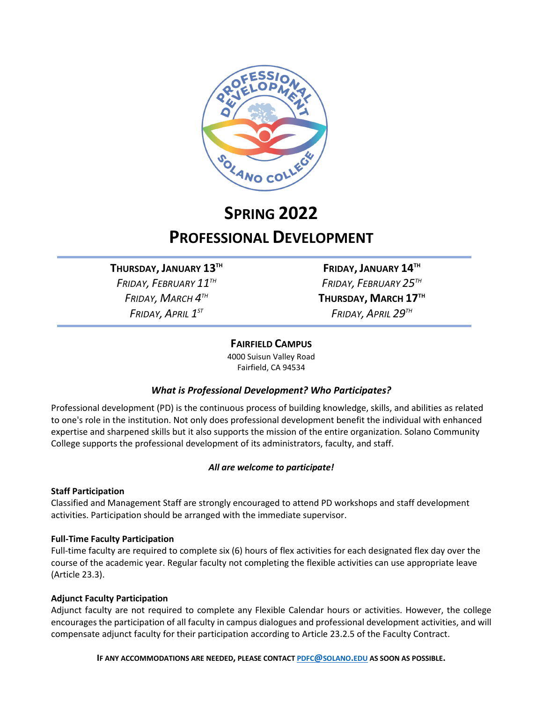

# **SPRING 2022 PROFESSIONAL DEVELOPMENT**

**THURSDAY, JANUARY 13TH FRIDAY, JANUARY 14TH** *FRIDAY, FEBRUARY 11TH FRIDAY, FEBRUARY 25TH*

*FRIDAY, MARCH 4TH* **THURSDAY, MARCH 17TH** *FRIDAY, APRIL 1ST FRIDAY, APRIL 29TH*

#### **FAIRFIELD CAMPUS**

4000 Suisun Valley Road Fairfield, CA 94534

### *What is Professional Development? Who Participates?*

Professional development (PD) is the continuous process of building knowledge, skills, and abilities as related to one's role in the institution. Not only does professional development benefit the individual with enhanced expertise and sharpened skills but it also supports the mission of the entire organization. Solano Community College supports the professional development of its administrators, faculty, and staff.

#### *All are welcome to participate!*

#### **Staff Participation**

Classified and Management Staff are strongly encouraged to attend PD workshops and staff development activities. Participation should be arranged with the immediate supervisor.

#### **Full-Time Faculty Participation**

Full-time faculty are required to complete six (6) hours of flex activities for each designated flex day over the course of the academic year. Regular faculty not completing the flexible activities can use appropriate leave (Article 23.3).

#### **Adjunct Faculty Participation**

Adjunct faculty are not required to complete any Flexible Calendar hours or activities. However, the college encourages the participation of all faculty in campus dialogues and professional development activities, and will compensate adjunct faculty for their participation according to Article 23.2.5 of the Faculty Contract.

**IF ANY ACCOMMODATIONS ARE NEEDED, PLEASE CONTACT [PDFC@SOLANO.EDU](about:blank) AS SOON AS POSSIBLE.**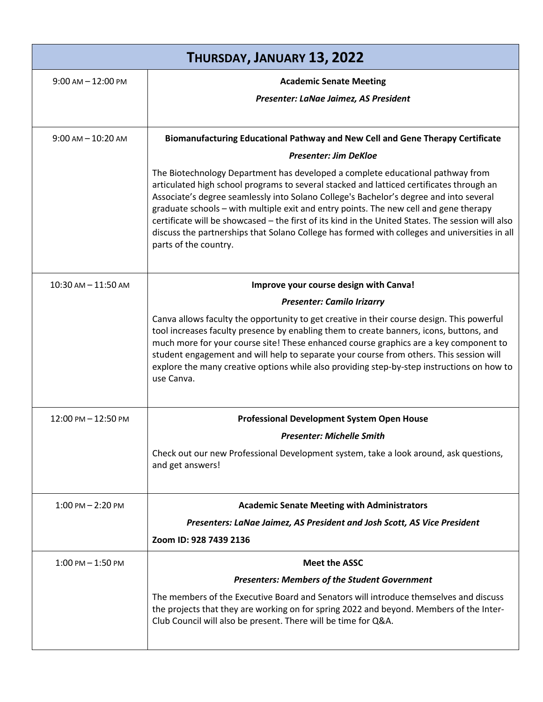| THURSDAY, JANUARY 13, 2022            |                                                                                                                                                                                                                                                                                                                                                                                                                                                                                                                                                                                              |  |
|---------------------------------------|----------------------------------------------------------------------------------------------------------------------------------------------------------------------------------------------------------------------------------------------------------------------------------------------------------------------------------------------------------------------------------------------------------------------------------------------------------------------------------------------------------------------------------------------------------------------------------------------|--|
| $9:00$ AM $- 12:00$ PM                | <b>Academic Senate Meeting</b>                                                                                                                                                                                                                                                                                                                                                                                                                                                                                                                                                               |  |
|                                       | Presenter: LaNae Jaimez, AS President                                                                                                                                                                                                                                                                                                                                                                                                                                                                                                                                                        |  |
|                                       |                                                                                                                                                                                                                                                                                                                                                                                                                                                                                                                                                                                              |  |
| $9:00$ AM $- 10:20$ AM                | Biomanufacturing Educational Pathway and New Cell and Gene Therapy Certificate                                                                                                                                                                                                                                                                                                                                                                                                                                                                                                               |  |
|                                       | <b>Presenter: Jim DeKloe</b>                                                                                                                                                                                                                                                                                                                                                                                                                                                                                                                                                                 |  |
|                                       | The Biotechnology Department has developed a complete educational pathway from<br>articulated high school programs to several stacked and latticed certificates through an<br>Associate's degree seamlessly into Solano College's Bachelor's degree and into several<br>graduate schools - with multiple exit and entry points. The new cell and gene therapy<br>certificate will be showcased - the first of its kind in the United States. The session will also<br>discuss the partnerships that Solano College has formed with colleges and universities in all<br>parts of the country. |  |
| $10:30$ AM $- 11:50$ AM               | Improve your course design with Canva!                                                                                                                                                                                                                                                                                                                                                                                                                                                                                                                                                       |  |
|                                       | <b>Presenter: Camilo Irizarry</b>                                                                                                                                                                                                                                                                                                                                                                                                                                                                                                                                                            |  |
|                                       | Canva allows faculty the opportunity to get creative in their course design. This powerful<br>tool increases faculty presence by enabling them to create banners, icons, buttons, and<br>much more for your course site! These enhanced course graphics are a key component to<br>student engagement and will help to separate your course from others. This session will<br>explore the many creative options while also providing step-by-step instructions on how to<br>use Canva.                                                                                                        |  |
| $12:00 \text{ PM} - 12:50 \text{ PM}$ | <b>Professional Development System Open House</b>                                                                                                                                                                                                                                                                                                                                                                                                                                                                                                                                            |  |
|                                       | <b>Presenter: Michelle Smith</b>                                                                                                                                                                                                                                                                                                                                                                                                                                                                                                                                                             |  |
|                                       | Check out our new Professional Development system, take a look around, ask questions,<br>and get answers!                                                                                                                                                                                                                                                                                                                                                                                                                                                                                    |  |
| $1:00$ PM $- 2:20$ PM                 | <b>Academic Senate Meeting with Administrators</b>                                                                                                                                                                                                                                                                                                                                                                                                                                                                                                                                           |  |
|                                       | Presenters: LaNae Jaimez, AS President and Josh Scott, AS Vice President                                                                                                                                                                                                                                                                                                                                                                                                                                                                                                                     |  |
|                                       | Zoom ID: 928 7439 2136                                                                                                                                                                                                                                                                                                                                                                                                                                                                                                                                                                       |  |
| $1:00$ PM $-1:50$ PM                  | <b>Meet the ASSC</b>                                                                                                                                                                                                                                                                                                                                                                                                                                                                                                                                                                         |  |
|                                       | <b>Presenters: Members of the Student Government</b>                                                                                                                                                                                                                                                                                                                                                                                                                                                                                                                                         |  |
|                                       | The members of the Executive Board and Senators will introduce themselves and discuss<br>the projects that they are working on for spring 2022 and beyond. Members of the Inter-<br>Club Council will also be present. There will be time for Q&A.                                                                                                                                                                                                                                                                                                                                           |  |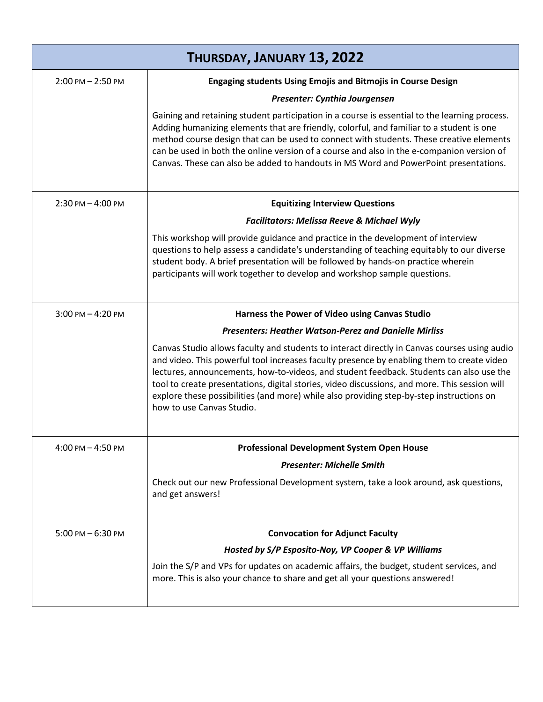| THURSDAY, JANUARY 13, 2022 |                                                                                                                                                                                                                                                                                                                                                                                                                                                                                                                |  |
|----------------------------|----------------------------------------------------------------------------------------------------------------------------------------------------------------------------------------------------------------------------------------------------------------------------------------------------------------------------------------------------------------------------------------------------------------------------------------------------------------------------------------------------------------|--|
| $2:00$ PM $- 2:50$ PM      | <b>Engaging students Using Emojis and Bitmojis in Course Design</b>                                                                                                                                                                                                                                                                                                                                                                                                                                            |  |
|                            | Presenter: Cynthia Jourgensen                                                                                                                                                                                                                                                                                                                                                                                                                                                                                  |  |
|                            | Gaining and retaining student participation in a course is essential to the learning process.<br>Adding humanizing elements that are friendly, colorful, and familiar to a student is one<br>method course design that can be used to connect with students. These creative elements<br>can be used in both the online version of a course and also in the e-companion version of<br>Canvas. These can also be added to handouts in MS Word and PowerPoint presentations.                                      |  |
| $2:30$ PM $-4:00$ PM       | <b>Equitizing Interview Questions</b>                                                                                                                                                                                                                                                                                                                                                                                                                                                                          |  |
|                            | <b>Facilitators: Melissa Reeve &amp; Michael Wyly</b>                                                                                                                                                                                                                                                                                                                                                                                                                                                          |  |
|                            | This workshop will provide guidance and practice in the development of interview<br>questions to help assess a candidate's understanding of teaching equitably to our diverse<br>student body. A brief presentation will be followed by hands-on practice wherein<br>participants will work together to develop and workshop sample questions.                                                                                                                                                                 |  |
| $3:00$ PM $-4:20$ PM       | Harness the Power of Video using Canvas Studio                                                                                                                                                                                                                                                                                                                                                                                                                                                                 |  |
|                            | <b>Presenters: Heather Watson-Perez and Danielle Mirliss</b>                                                                                                                                                                                                                                                                                                                                                                                                                                                   |  |
|                            | Canvas Studio allows faculty and students to interact directly in Canvas courses using audio<br>and video. This powerful tool increases faculty presence by enabling them to create video<br>lectures, announcements, how-to-videos, and student feedback. Students can also use the<br>tool to create presentations, digital stories, video discussions, and more. This session will<br>explore these possibilities (and more) while also providing step-by-step instructions on<br>how to use Canvas Studio. |  |
| $4:00$ PM $- 4:50$ PM      | <b>Professional Development System Open House</b>                                                                                                                                                                                                                                                                                                                                                                                                                                                              |  |
|                            | <b>Presenter: Michelle Smith</b>                                                                                                                                                                                                                                                                                                                                                                                                                                                                               |  |
|                            | Check out our new Professional Development system, take a look around, ask questions,<br>and get answers!                                                                                                                                                                                                                                                                                                                                                                                                      |  |
| $5:00$ PM $-6:30$ PM       | <b>Convocation for Adjunct Faculty</b>                                                                                                                                                                                                                                                                                                                                                                                                                                                                         |  |
|                            | Hosted by S/P Esposito-Noy, VP Cooper & VP Williams                                                                                                                                                                                                                                                                                                                                                                                                                                                            |  |
|                            | Join the S/P and VPs for updates on academic affairs, the budget, student services, and<br>more. This is also your chance to share and get all your questions answered!                                                                                                                                                                                                                                                                                                                                        |  |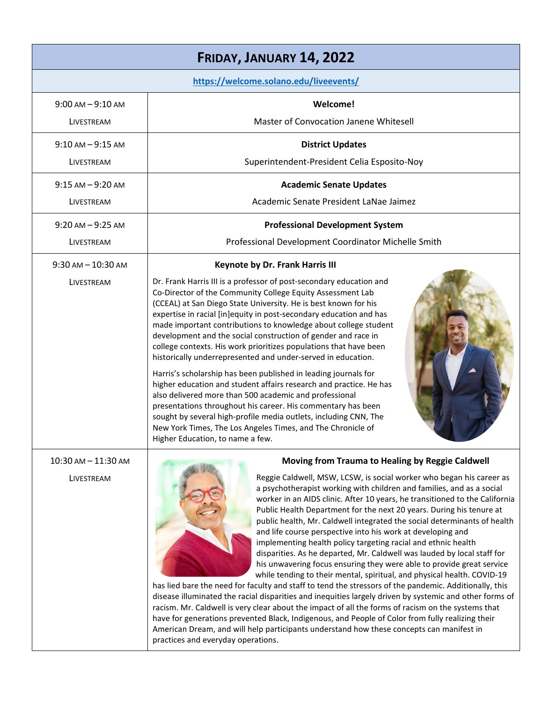| FRIDAY, JANUARY 14, 2022             |                                                                                                                                                                                                                                                                                                                                                                                                                                                                                                                                                                                                                                                                                                                                                                                                                                                                                                                                                                                                                                                                                                                                                                                                                                                                                                                                                                      |  |  |
|--------------------------------------|----------------------------------------------------------------------------------------------------------------------------------------------------------------------------------------------------------------------------------------------------------------------------------------------------------------------------------------------------------------------------------------------------------------------------------------------------------------------------------------------------------------------------------------------------------------------------------------------------------------------------------------------------------------------------------------------------------------------------------------------------------------------------------------------------------------------------------------------------------------------------------------------------------------------------------------------------------------------------------------------------------------------------------------------------------------------------------------------------------------------------------------------------------------------------------------------------------------------------------------------------------------------------------------------------------------------------------------------------------------------|--|--|
|                                      | https://welcome.solano.edu/liveevents/                                                                                                                                                                                                                                                                                                                                                                                                                                                                                                                                                                                                                                                                                                                                                                                                                                                                                                                                                                                                                                                                                                                                                                                                                                                                                                                               |  |  |
| $9:00$ AM $-9:10$ AM                 | Welcome!                                                                                                                                                                                                                                                                                                                                                                                                                                                                                                                                                                                                                                                                                                                                                                                                                                                                                                                                                                                                                                                                                                                                                                                                                                                                                                                                                             |  |  |
| LIVESTREAM                           | Master of Convocation Janene Whitesell                                                                                                                                                                                                                                                                                                                                                                                                                                                                                                                                                                                                                                                                                                                                                                                                                                                                                                                                                                                                                                                                                                                                                                                                                                                                                                                               |  |  |
| $9:10$ AM $-9:15$ AM                 | <b>District Updates</b>                                                                                                                                                                                                                                                                                                                                                                                                                                                                                                                                                                                                                                                                                                                                                                                                                                                                                                                                                                                                                                                                                                                                                                                                                                                                                                                                              |  |  |
| LIVESTREAM                           | Superintendent-President Celia Esposito-Noy                                                                                                                                                                                                                                                                                                                                                                                                                                                                                                                                                                                                                                                                                                                                                                                                                                                                                                                                                                                                                                                                                                                                                                                                                                                                                                                          |  |  |
| $9:15$ AM $-9:20$ AM                 | <b>Academic Senate Updates</b>                                                                                                                                                                                                                                                                                                                                                                                                                                                                                                                                                                                                                                                                                                                                                                                                                                                                                                                                                                                                                                                                                                                                                                                                                                                                                                                                       |  |  |
| LIVESTREAM                           | Academic Senate President LaNae Jaimez                                                                                                                                                                                                                                                                                                                                                                                                                                                                                                                                                                                                                                                                                                                                                                                                                                                                                                                                                                                                                                                                                                                                                                                                                                                                                                                               |  |  |
| $9:20$ AM $-9:25$ AM                 | <b>Professional Development System</b>                                                                                                                                                                                                                                                                                                                                                                                                                                                                                                                                                                                                                                                                                                                                                                                                                                                                                                                                                                                                                                                                                                                                                                                                                                                                                                                               |  |  |
| LIVESTREAM                           | Professional Development Coordinator Michelle Smith                                                                                                                                                                                                                                                                                                                                                                                                                                                                                                                                                                                                                                                                                                                                                                                                                                                                                                                                                                                                                                                                                                                                                                                                                                                                                                                  |  |  |
| $9:30$ AM $- 10:30$ AM<br>LIVESTREAM | <b>Keynote by Dr. Frank Harris III</b><br>Dr. Frank Harris III is a professor of post-secondary education and<br>Co-Director of the Community College Equity Assessment Lab<br>(CCEAL) at San Diego State University. He is best known for his<br>expertise in racial [in]equity in post-secondary education and has<br>made important contributions to knowledge about college student<br>development and the social construction of gender and race in<br>college contexts. His work prioritizes populations that have been<br>historically underrepresented and under-served in education.<br>Harris's scholarship has been published in leading journals for<br>higher education and student affairs research and practice. He has<br>also delivered more than 500 academic and professional<br>presentations throughout his career. His commentary has been<br>sought by several high-profile media outlets, including CNN, The<br>New York Times, The Los Angeles Times, and The Chronicle of<br>Higher Education, to name a few.                                                                                                                                                                                                                                                                                                                              |  |  |
| 10:30 AM - 11:30 AM<br>LIVESTREAM    | Moving from Trauma to Healing by Reggie Caldwell<br>Reggie Caldwell, MSW, LCSW, is social worker who began his career as<br>a psychotherapist working with children and families, and as a social<br>worker in an AIDS clinic. After 10 years, he transitioned to the California<br>Public Health Department for the next 20 years. During his tenure at<br>public health, Mr. Caldwell integrated the social determinants of health<br>and life course perspective into his work at developing and<br>implementing health policy targeting racial and ethnic health<br>disparities. As he departed, Mr. Caldwell was lauded by local staff for<br>his unwavering focus ensuring they were able to provide great service<br>while tending to their mental, spiritual, and physical health. COVID-19<br>has lied bare the need for faculty and staff to tend the stressors of the pandemic. Additionally, this<br>disease illuminated the racial disparities and inequities largely driven by systemic and other forms of<br>racism. Mr. Caldwell is very clear about the impact of all the forms of racism on the systems that<br>have for generations prevented Black, Indigenous, and People of Color from fully realizing their<br>American Dream, and will help participants understand how these concepts can manifest in<br>practices and everyday operations. |  |  |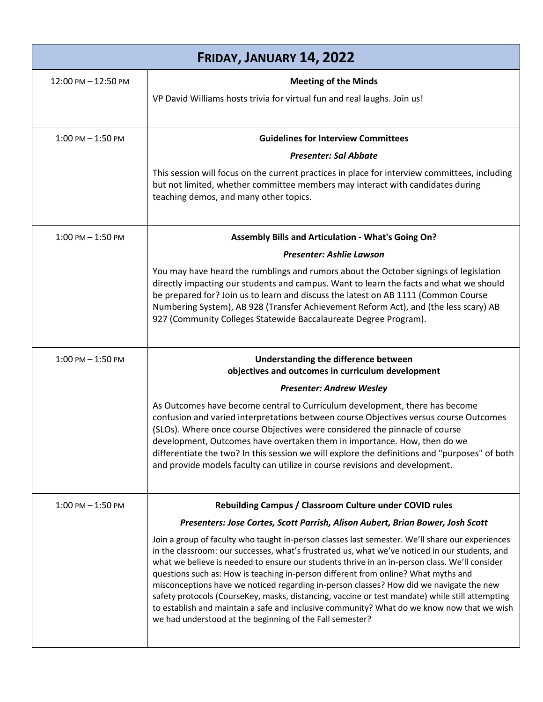| FRIDAY, JANUARY 14, 2022 |                                                                                                                                                                                                                                                                                                                                                                                                                                                                                                                                                                                                                                                                                                                                                  |
|--------------------------|--------------------------------------------------------------------------------------------------------------------------------------------------------------------------------------------------------------------------------------------------------------------------------------------------------------------------------------------------------------------------------------------------------------------------------------------------------------------------------------------------------------------------------------------------------------------------------------------------------------------------------------------------------------------------------------------------------------------------------------------------|
| 12:00 PM - 12:50 PM      | <b>Meeting of the Minds</b>                                                                                                                                                                                                                                                                                                                                                                                                                                                                                                                                                                                                                                                                                                                      |
|                          | VP David Williams hosts trivia for virtual fun and real laughs. Join us!                                                                                                                                                                                                                                                                                                                                                                                                                                                                                                                                                                                                                                                                         |
| $1:00$ PM $-1:50$ PM     | <b>Guidelines for Interview Committees</b>                                                                                                                                                                                                                                                                                                                                                                                                                                                                                                                                                                                                                                                                                                       |
|                          | <b>Presenter: Sal Abbate</b>                                                                                                                                                                                                                                                                                                                                                                                                                                                                                                                                                                                                                                                                                                                     |
|                          | This session will focus on the current practices in place for interview committees, including<br>but not limited, whether committee members may interact with candidates during<br>teaching demos, and many other topics.                                                                                                                                                                                                                                                                                                                                                                                                                                                                                                                        |
| $1:00$ PM $- 1:50$ PM    | Assembly Bills and Articulation - What's Going On?                                                                                                                                                                                                                                                                                                                                                                                                                                                                                                                                                                                                                                                                                               |
|                          | Presenter: Ashlie Lawson                                                                                                                                                                                                                                                                                                                                                                                                                                                                                                                                                                                                                                                                                                                         |
|                          | You may have heard the rumblings and rumors about the October signings of legislation<br>directly impacting our students and campus. Want to learn the facts and what we should<br>be prepared for? Join us to learn and discuss the latest on AB 1111 (Common Course<br>Numbering System), AB 928 (Transfer Achievement Reform Act), and (the less scary) AB<br>927 (Community Colleges Statewide Baccalaureate Degree Program).                                                                                                                                                                                                                                                                                                                |
| 1:00 PM - 1:50 PM        | Understanding the difference between<br>objectives and outcomes in curriculum development                                                                                                                                                                                                                                                                                                                                                                                                                                                                                                                                                                                                                                                        |
|                          | <b>Presenter: Andrew Wesley</b>                                                                                                                                                                                                                                                                                                                                                                                                                                                                                                                                                                                                                                                                                                                  |
|                          | As Outcomes have become central to Curriculum development, there has become<br>confusion and varied interpretations between course Objectives versus course Outcomes<br>(SLOs). Where once course Objectives were considered the pinnacle of course<br>development, Outcomes have overtaken them in importance. How, then do we<br>differentiate the two? In this session we will explore the definitions and "purposes" of both<br>and provide models faculty can utilize in course revisions and development.                                                                                                                                                                                                                                  |
| $1:00$ PM $-1:50$ PM     | Rebuilding Campus / Classroom Culture under COVID rules                                                                                                                                                                                                                                                                                                                                                                                                                                                                                                                                                                                                                                                                                          |
|                          | Presenters: Jose Cortes, Scott Parrish, Alison Aubert, Brian Bower, Josh Scott                                                                                                                                                                                                                                                                                                                                                                                                                                                                                                                                                                                                                                                                   |
|                          | Join a group of faculty who taught in-person classes last semester. We'll share our experiences<br>in the classroom: our successes, what's frustrated us, what we've noticed in our students, and<br>what we believe is needed to ensure our students thrive in an in-person class. We'll consider<br>questions such as: How is teaching in-person different from online? What myths and<br>misconceptions have we noticed regarding in-person classes? How did we navigate the new<br>safety protocols (CourseKey, masks, distancing, vaccine or test mandate) while still attempting<br>to establish and maintain a safe and inclusive community? What do we know now that we wish<br>we had understood at the beginning of the Fall semester? |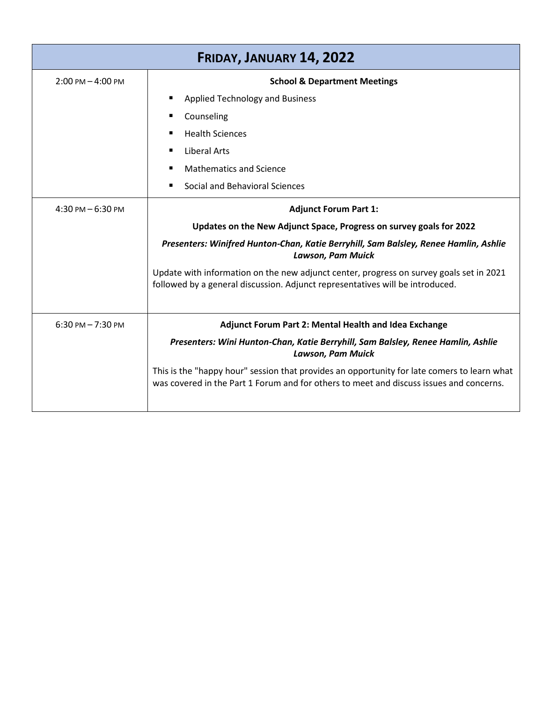| FRIDAY, JANUARY 14, 2022            |                                                                                                                                                                                        |  |
|-------------------------------------|----------------------------------------------------------------------------------------------------------------------------------------------------------------------------------------|--|
| $2:00 \text{ PM} - 4:00 \text{ PM}$ | <b>School &amp; Department Meetings</b>                                                                                                                                                |  |
|                                     | Applied Technology and Business                                                                                                                                                        |  |
|                                     | Counseling<br>٠                                                                                                                                                                        |  |
|                                     | <b>Health Sciences</b>                                                                                                                                                                 |  |
|                                     | <b>Liberal Arts</b>                                                                                                                                                                    |  |
|                                     | <b>Mathematics and Science</b>                                                                                                                                                         |  |
|                                     | Social and Behavioral Sciences                                                                                                                                                         |  |
| $4:30$ PM $-6:30$ PM                | <b>Adjunct Forum Part 1:</b>                                                                                                                                                           |  |
|                                     | Updates on the New Adjunct Space, Progress on survey goals for 2022                                                                                                                    |  |
|                                     | Presenters: Winifred Hunton-Chan, Katie Berryhill, Sam Balsley, Renee Hamlin, Ashlie<br><b>Lawson, Pam Muick</b>                                                                       |  |
|                                     | Update with information on the new adjunct center, progress on survey goals set in 2021<br>followed by a general discussion. Adjunct representatives will be introduced.               |  |
| $6:30$ PM $- 7:30$ PM               | Adjunct Forum Part 2: Mental Health and Idea Exchange                                                                                                                                  |  |
|                                     | Presenters: Wini Hunton-Chan, Katie Berryhill, Sam Balsley, Renee Hamlin, Ashlie<br><b>Lawson, Pam Muick</b>                                                                           |  |
|                                     | This is the "happy hour" session that provides an opportunity for late comers to learn what<br>was covered in the Part 1 Forum and for others to meet and discuss issues and concerns. |  |